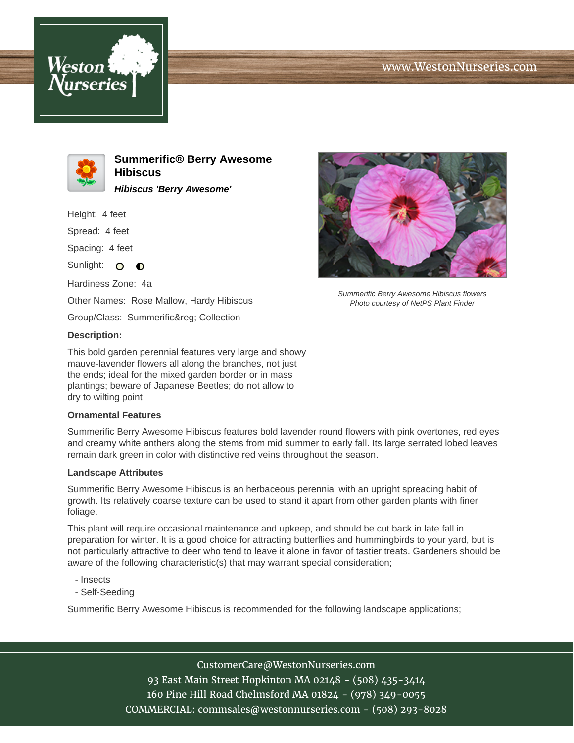





**Summerific® Berry Awesome Hibiscus Hibiscus 'Berry Awesome'**

Height: 4 feet

Spread: 4 feet

Spacing: 4 feet

Sunlight:  $\Omega$  $\bullet$ 

Hardiness Zone: 4a Other Names: Rose Mallow, Hardy Hibiscus

Group/Class: Summerific® Collection

## **Description:**

This bold garden perennial features very large and showy mauve-lavender flowers all along the branches, not just the ends; ideal for the mixed garden border or in mass plantings; beware of Japanese Beetles; do not allow to dry to wilting point

## **Ornamental Features**

Summerific Berry Awesome Hibiscus features bold lavender round flowers with pink overtones, red eyes and creamy white anthers along the stems from mid summer to early fall. Its large serrated lobed leaves remain dark green in color with distinctive red veins throughout the season.

## **Landscape Attributes**

Summerific Berry Awesome Hibiscus is an herbaceous perennial with an upright spreading habit of growth. Its relatively coarse texture can be used to stand it apart from other garden plants with finer foliage.

This plant will require occasional maintenance and upkeep, and should be cut back in late fall in preparation for winter. It is a good choice for attracting butterflies and hummingbirds to your yard, but is not particularly attractive to deer who tend to leave it alone in favor of tastier treats. Gardeners should be aware of the following characteristic(s) that may warrant special consideration;

- Insects
- Self-Seeding

Summerific Berry Awesome Hibiscus is recommended for the following landscape applications;



93 East Main Street Hopkinton MA 02148 - (508) 435-3414 160 Pine Hill Road Chelmsford MA 01824 - (978) 349-0055 COMMERCIAL: commsales@westonnurseries.com - (508) 293-8028



Summerific Berry Awesome Hibiscus flowers Photo courtesy of NetPS Plant Finder